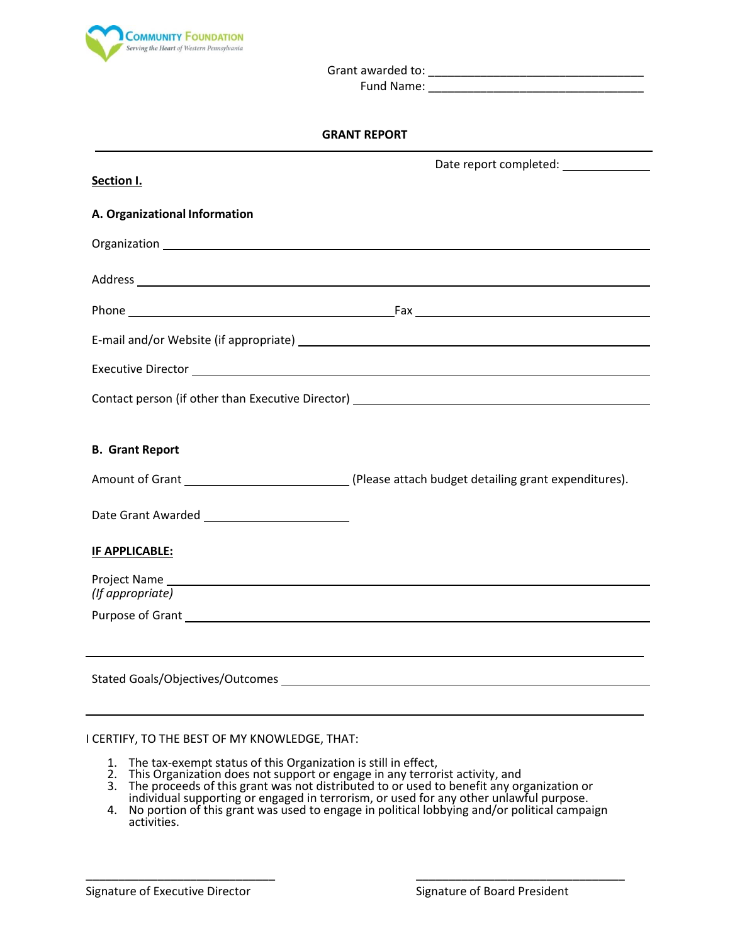

Grant awarded to: \_\_\_\_\_\_\_\_\_\_\_\_\_\_\_\_\_\_\_\_\_\_\_\_\_\_\_\_\_\_\_\_\_

Fund Name: **Example 20** 

| Section I.                                                                                                                                                                                                                     |                                                                                   |
|--------------------------------------------------------------------------------------------------------------------------------------------------------------------------------------------------------------------------------|-----------------------------------------------------------------------------------|
| A. Organizational Information                                                                                                                                                                                                  |                                                                                   |
|                                                                                                                                                                                                                                |                                                                                   |
|                                                                                                                                                                                                                                |                                                                                   |
|                                                                                                                                                                                                                                |                                                                                   |
|                                                                                                                                                                                                                                |                                                                                   |
|                                                                                                                                                                                                                                |                                                                                   |
|                                                                                                                                                                                                                                | Contact person (if other than Executive Director) _______________________________ |
|                                                                                                                                                                                                                                |                                                                                   |
| <b>B. Grant Report</b>                                                                                                                                                                                                         |                                                                                   |
|                                                                                                                                                                                                                                | Amount of Grant 1997 (Please attach budget detailing grant expenditures).         |
|                                                                                                                                                                                                                                |                                                                                   |
| <b>IF APPLICABLE:</b>                                                                                                                                                                                                          |                                                                                   |
| (If appropriate)                                                                                                                                                                                                               |                                                                                   |
| Purpose of Grant National Accounts and Accounts and Accounts and Accounts and Accounts and Accounts and Accounts and Accounts and Accounts and Accounts and Accounts and Accounts and Accounts and Accounts and Accounts and A |                                                                                   |
|                                                                                                                                                                                                                                |                                                                                   |
|                                                                                                                                                                                                                                |                                                                                   |
|                                                                                                                                                                                                                                |                                                                                   |

## I CERTIFY, TO THE BEST OF MY KNOWLEDGE, THAT:

- 1. The tax-exempt status of this Organization is still in effect,
- 2. This Organization does not support or engage in any terrorist activity, and
- 3. The proceeds of this grant was not distributed to or used to benefit any organization or individual supporting or engaged in terrorism, or used for any other unlawful purpose.
- 4. No portion of this grant was used to engage in political lobbying and/or political campaign activities.

\_\_\_\_\_\_\_\_\_\_\_\_\_\_\_\_\_\_\_\_\_\_\_\_\_\_\_\_\_ \_\_\_\_\_\_\_\_\_\_\_\_\_\_\_\_\_\_\_\_\_\_\_\_\_\_\_\_\_\_\_\_